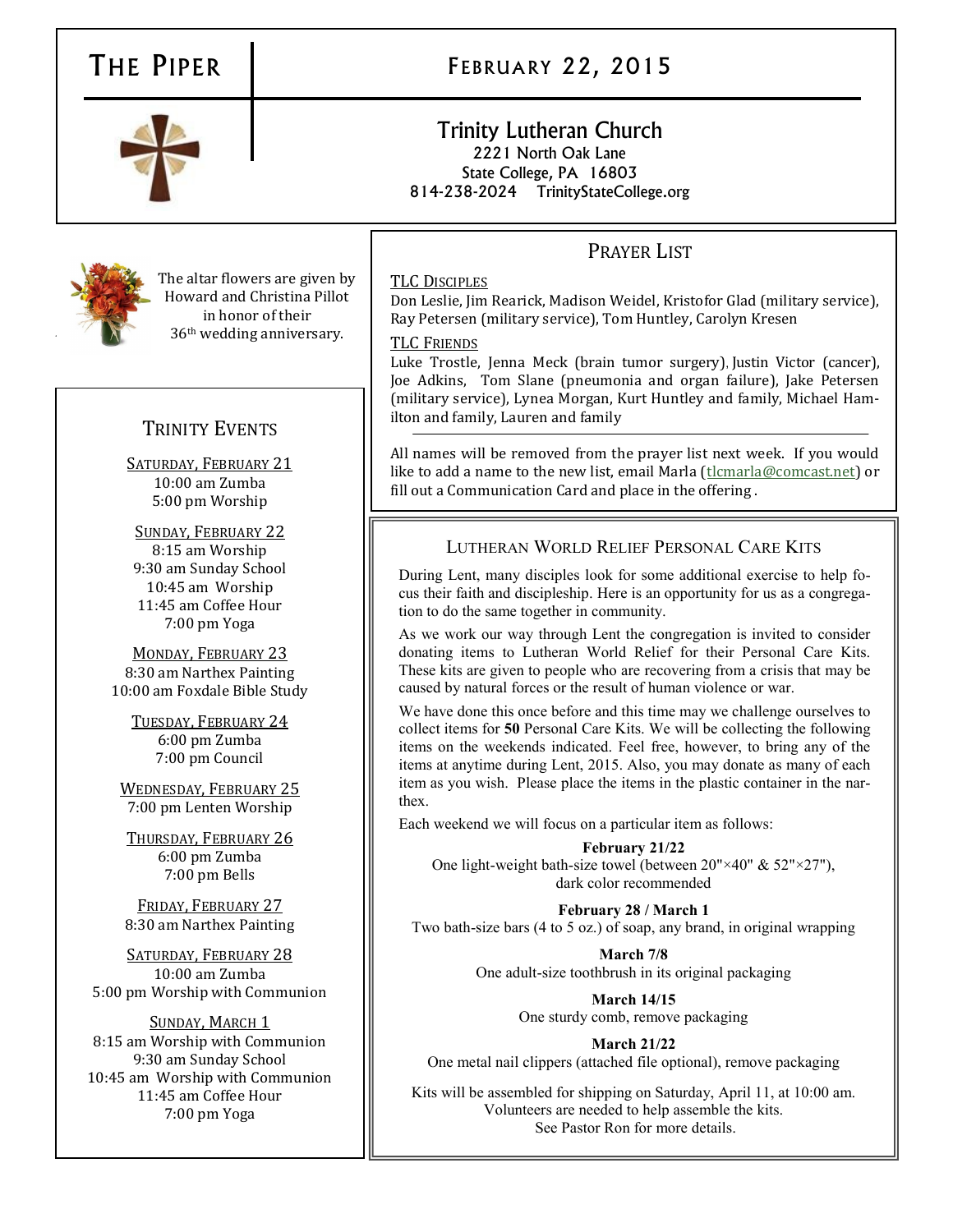The altar flowers are given by Howard and Christina Pillot in honor of their 36th wedding anniversary.

# TRINITY EVENTS

SATURDAY, FEBRUARY 21 10:00 am Zumba 5:00 pm Worship

SUNDAY, FEBRUARY 22 8:15 am Worship 9:30 am Sunday School 10:45 am Worship 11:45 am Coffee Hour 7:00 pm Yoga

MONDAY, FEBRUARY 23 8:30 am Narthex Painting 10:00 am Foxdale Bible Study

TUESDAY, FEBRUARY 24 6:00 pm Zumba 7:00 pm Council

WEDNESDAY, FEBRUARY 25 7:00 pm Lenten Worship

THURSDAY, FEBRUARY 26 6:00 pm Zumba 7:00 pm Bells

FRIDAY, FEBRUARY 27 8:30 am Narthex Painting

SATURDAY, FEBRUARY 28 10:00 am Zumba 5:00 pm Worship with Communion

SUNDAY, MARCH 1 8:15 am Worship with Communion 9:30 am Sunday School 10:45 am Worship with Communion 11:45 am Coffee Hour 7:00 pm Yoga

# THE PIPER **FEBRUARY 22, 2015**

# Trinity Lutheran Church 2221 North Oak Lane State College, PA 16803

814-238-2024 TrinityStateCollege.org

# PRAYER LIST

## TLC DISCIPLES

Don Leslie, Jim Rearick, Madison Weidel, Kristofor Glad (military service), Ray Petersen (military service), Tom Huntley, Carolyn Kresen

## TLC FRIENDS

Luke Trostle, Jenna Meck (brain tumor surgery), Justin Victor (cancer), Joe Adkins, Tom Slane (pneumonia and organ failure), Jake Petersen (military service), Lynea Morgan, Kurt Huntley and family, Michael Hamilton and family, Lauren and family

All names will be removed from the prayer list next week. If you would like to add a name to the new list, email Marla (the enarla@comcast.net) or fill out a Communication Card and place in the offering .

# LUTHERAN WORLD RELIEF PERSONAL CARE KITS

During Lent, many disciples look for some additional exercise to help focus their faith and discipleship. Here is an opportunity for us as a congregation to do the same together in community.

As we work our way through Lent the congregation is invited to consider donating items to Lutheran World Relief for their Personal Care Kits. These kits are given to people who are recovering from a crisis that may be caused by natural forces or the result of human violence or war.

We have done this once before and this time may we challenge ourselves to collect items for **50** Personal Care Kits. We will be collecting the following items on the weekends indicated. Feel free, however, to bring any of the items at anytime during Lent, 2015. Also, you may donate as many of each item as you wish. Please place the items in the plastic container in the narthex.

Each weekend we will focus on a particular item as follows:

**February 21/22**  One light-weight bath-size towel (between 20"×40" & 52"×27"), dark color recommended

**February 28 / March 1** Two bath-size bars (4 to 5 oz.) of soap, any brand, in original wrapping

> **March 7/8** One adult-size toothbrush in its original packaging

> > **March 14/15** One sturdy comb, remove packaging

**March 21/22** One metal nail clippers (attached file optional), remove packaging

Kits will be assembled for shipping on Saturday, April 11, at 10:00 am. Volunteers are needed to help assemble the kits. See Pastor Ron for more details.